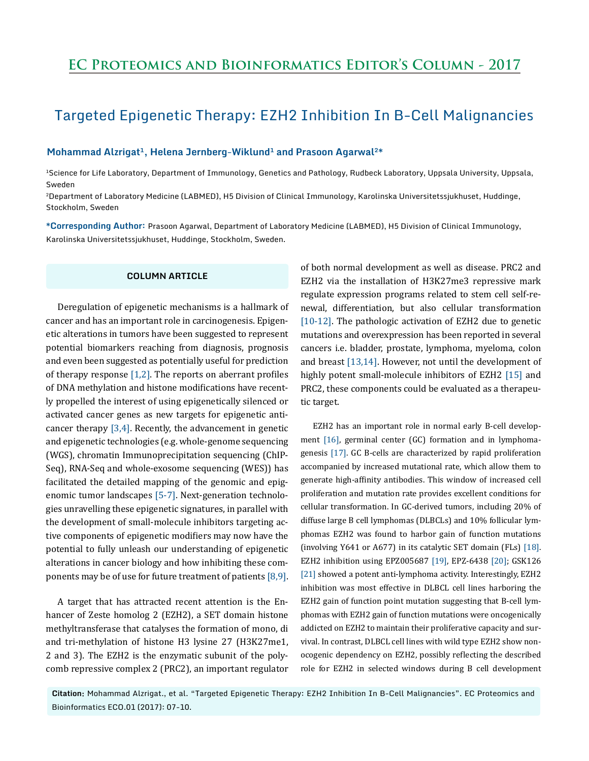## Targeted Epigenetic Therapy: EZH2 Inhibition In B-Cell Malignancies

## Mohammad Alzrigat<sup>1</sup>, Helena Jernberg-Wiklund<sup>1</sup> and Prasoon Agarwal<sup>2\*</sup>

1Science for Life Laboratory, Department of Immunology, Genetics and Pathology, Rudbeck Laboratory, Uppsala University, Uppsala, Sweden

2Department of Laboratory Medicine (LABMED), H5 Division of Clinical Immunology, Karolinska Universitetssjukhuset, Huddinge, Stockholm, Sweden

**\*Corresponding Author:** Prasoon Agarwal, Department of Laboratory Medicine (LABMED), H5 Division of Clinical Immunology, Karolinska Universitetssjukhuset, Huddinge, Stockholm, Sweden.

## **COLUMN ARTICLE**

Deregulation of epigenetic mechanisms is a hallmark of cancer and has an important role in carcinogenesis. Epigenetic alterations in tumors have been suggested to represent potential biomarkers reaching from diagnosis, prognosis and even been suggested as potentially useful for prediction of therapy response  $[1,2]$ . The reports on aberrant profiles of DNA methylation and histone modifications have recently propelled the interest of using epigenetically silenced or activated cancer genes as new targets for epigenetic anticancer therapy [3,4]. Recently, the advancement in genetic and epigenetic technologies (e.g. whole-genome sequencing (WGS), chromatin Immunoprecipitation sequencing (ChIP-Seq), RNA-Seq and whole-exosome sequencing (WES)) has facilitated the detailed mapping of the genomic and epigenomic tumor landscapes [5-7]. Next-generation technologies unravelling these epigenetic signatures, in parallel with the development of small-molecule inhibitors targeting active components of epigenetic modifiers may now have the potential to fully unleash our understanding of epigenetic alterations in cancer biology and how inhibiting these components may be of use for future treatment of patients [8,9].

A target that has attracted recent attention is the Enhancer of Zeste homolog 2 (EZH2), a SET domain histone methyltransferase that catalyses the formation of mono, di and tri-methylation of histone H3 lysine 27 (H3K27me1, 2 and 3). The EZH2 is the enzymatic subunit of the polycomb repressive complex 2 (PRC2), an important regulator of both normal development as well as disease. PRC2 and EZH2 via the installation of H3K27me3 repressive mark regulate expression programs related to stem cell self-renewal, differentiation, but also cellular transformation [10-12]. The pathologic activation of EZH2 due to genetic mutations and overexpression has been reported in several cancers i.e. bladder, prostate, lymphoma, myeloma, colon and breast [13,14]. However, not until the development of highly potent small-molecule inhibitors of EZH2 [15] and PRC2, these components could be evaluated as a therapeutic target.

EZH2 has an important role in normal early B-cell development [16], germinal center (GC) formation and in lymphomagenesis [17]. GC B-cells are characterized by rapid proliferation accompanied by increased mutational rate, which allow them to generate high-affinity antibodies. This window of increased cell proliferation and mutation rate provides excellent conditions for cellular transformation. In GC-derived tumors, including 20% of diffuse large B cell lymphomas (DLBCLs) and 10% follicular lymphomas EZH2 was found to harbor gain of function mutations (involving Y641 or A677) in its catalytic SET domain (FLs) [18]. EZH2 inhibition using EPZ005687 [19], EPZ-6438 [20]; GSK126 [21] showed a potent anti-lymphoma activity. Interestingly, EZH2 inhibition was most effective in DLBCL cell lines harboring the EZH2 gain of function point mutation suggesting that B-cell lymphomas with EZH2 gain of function mutations were oncogenically addicted on EZH2 to maintain their proliferative capacity and survival. In contrast, DLBCL cell lines with wild type EZH2 show nonocogenic dependency on EZH2, possibly reflecting the described role for EZH2 in selected windows during B cell development

**Citation:** Mohammad Alzrigat., et al. "Targeted Epigenetic Therapy: EZH2 Inhibition In B-Cell Malignancies". EC Proteomics and Bioinformatics ECO.01 (2017): 07-10.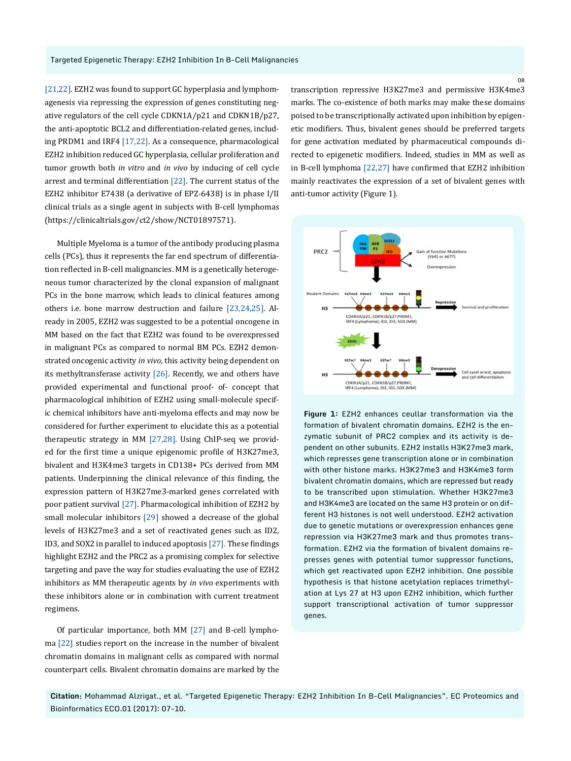[21,22]. EZH2 was found to support GC hyperplasia and lymphomagenesis via repressing the expression of genes constituting negative regulators of the cell cycle CDKN1A/p21 and CDKN1B/p27, the anti-apoptotic BCL2 and differentiation-related genes, including PRDM1 and IRF4 [17,22]. As a consequence, pharmacological EZH2 inhibition reduced GC hyperplasia, cellular proliferation and tumor growth both *in vitro* and *in vivo* by inducing of cell cycle arrest and terminal differentiation [22]. The current status of the EZH2 inhibitor E7438 (a derivative of EPZ-6438) is in phase I/II clinical trials as a single agent in subjects with B-cell lymphomas [\(https://clinicaltrials.gov/ct2/show/NCT01897571](https://clinicaltrials.gov/ct2/show/NCT01897571)).

Multiple Myeloma is a tumor of the antibody producing plasma cells (PCs), thus it represents the far end spectrum of differentiation reflected in B-cell malignancies. MM is a genetically heterogeneous tumor characterized by the clonal expansion of malignant PCs in the bone marrow, which leads to clinical features among others i.e. bone marrow destruction and failure [23,24,25]. Already in 2005, EZH2 was suggested to be a potential oncogene in MM based on the fact that EZH2 was found to be overexpressed in malignant PCs as compared to normal BM PCs. EZH2 demonstrated oncogenic activity *in vivo,* this activity being dependent on its methyltransferase activity [26]. Recently, we and others have provided experimental and functional proof- of- concept that pharmacological inhibition of EZH2 using small-molecule specific chemical inhibitors have anti-myeloma effects and may now be considered for further experiment to elucidate this as a potential therapeutic strategy in MM [27,28]. Using ChIP-seq we provided for the first time a unique epigenomic profile of H3K27me3, bivalent and H3K4me3 targets in CD138+ PCs derived from MM patients. Underpinning the clinical relevance of this finding, the expression pattern of H3K27me3-marked genes correlated with poor patient survival [27]. Pharmacological inhibition of EZH2 by small molecular inhibitors [29] showed a decrease of the global levels of H3K27me3 and a set of reactivated genes such as ID2, ID3, and SOX2 in parallel to induced apoptosis [27]. These findings highlight EZH2 and the PRC2 as a promising complex for selective targeting and pave the way for studies evaluating the use of EZH2 inhibitors as MM therapeutic agents by *in vivo* experiments with these inhibitors alone or in combination with current treatment regimens.

Of particular importance, both MM [27] and B-cell lymphoma [22] studies report on the increase in the number of bivalent chromatin domains in malignant cells as compared with normal counterpart cells. Bivalent chromatin domains are marked by the transcription repressive H3K27me3 and permissive H3K4me3 marks. The co-existence of both marks may make these domains poised to be transcriptionally activated upon inhibition by epigenetic modifiers. Thus, bivalent genes should be preferred targets for gene activation mediated by pharmaceutical compounds directed to epigenetic modifiers. Indeed, studies in MM as well as in B-cell lymphoma [22,27] have confirmed that EZH2 inhibition mainly reactivates the expression of a set of bivalent genes with anti-tumor activity (Figure 1).



**Figure 1:** EZH2 enhances ceullar transformation via the formation of bivalent chromatin domains. EZH2 is the enzymatic subunit of PRC2 complex and its activity is dependent on other subunits. EZH2 installs H3K27me3 mark, which represses gene transcription alone or in combination with other histone marks. H3K27me3 and H3K4me3 form bivalent chromatin domains, which are repressed but ready to be transcribed upon stimulation. Whether H3K27me3 and H3K4me3 are located on the same H3 protein or on different H3 histones is not well understood. EZH2 activation due to genetic mutations or overexpression enhances gene repression via H3K27me3 mark and thus promotes transformation. EZH2 via the formation of bivalent domains represses genes with potential tumor suppressor functions, which get reactivated upon EZH2 inhibition. One possible hypothesis is that histone acetylation replaces trimethylation at Lys 27 at H3 upon EZH2 inhibition, which further support transcriptional activation of tumor suppressor genes.

**Citation:** Mohammad Alzrigat., et al. "Targeted Epigenetic Therapy: EZH2 Inhibition In B-Cell Malignancies". EC Proteomics and Bioinformatics ECO.01 (2017): 07-10.

08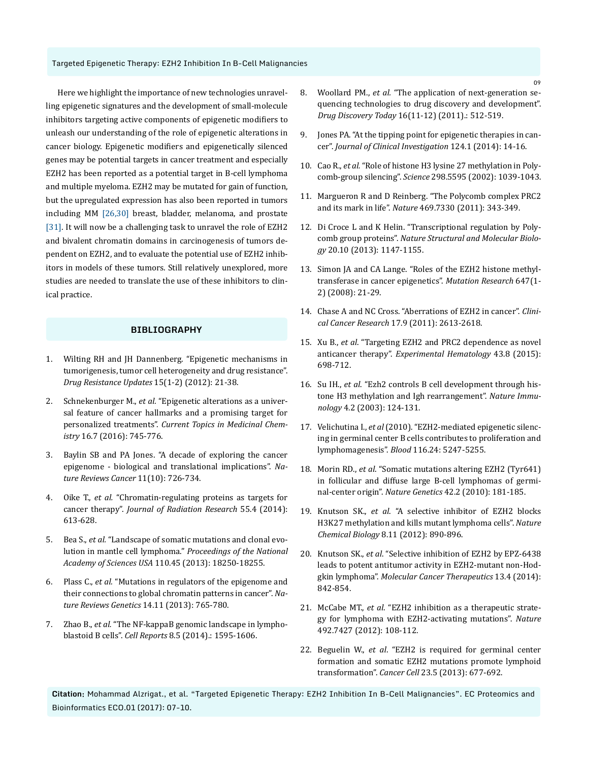Targeted Epigenetic Therapy: EZH2 Inhibition In B-Cell Malignancies

Here we highlight the importance of new technologies unravelling epigenetic signatures and the development of small-molecule inhibitors targeting active components of epigenetic modifiers to unleash our understanding of the role of epigenetic alterations in cancer biology. Epigenetic modifiers and epigenetically silenced genes may be potential targets in cancer treatment and especially EZH2 has been reported as a potential target in B-cell lymphoma and multiple myeloma. EZH2 may be mutated for gain of function, but the upregulated expression has also been reported in tumors including MM [26,30] breast, bladder, melanoma, and prostate [31]. It will now be a challenging task to unravel the role of EZH2 and bivalent chromatin domains in carcinogenesis of tumors dependent on EZH2, and to evaluate the potential use of EZH2 inhibitors in models of these tumors. Still relatively unexplored, more studies are needed to translate the use of these inhibitors to clinical practice.

## **BIBLIOGRAPHY**

- 1. [Wilting RH and JH Dannenberg. "Epigenetic mechanisms in](https://www.ncbi.nlm.nih.gov/pubmed/22356866) [tumorigenesis, tumor cell heterogeneity and drug resistance".](https://www.ncbi.nlm.nih.gov/pubmed/22356866) *[Drug Resistance Updates](https://www.ncbi.nlm.nih.gov/pubmed/22356866)* 15(1-2) (2012): 21-38.
- 2. Schnekenburger M., *et al.* ["Epigenetic alterations as a univer](https://www.ncbi.nlm.nih.gov/pubmed/26303418)[sal feature of cancer hallmarks and a promising target for](https://www.ncbi.nlm.nih.gov/pubmed/26303418) personalized treatments". *[Current Topics in Medicinal Chem](https://www.ncbi.nlm.nih.gov/pubmed/26303418)istry* [16.7 \(2016\): 745-776.](https://www.ncbi.nlm.nih.gov/pubmed/26303418)
- 3. [Baylin SB and PA Jones. "A decade of exploring the cancer](http://www.nature.com/nrc/journal/v11/n10/full/nrc3130.html) [epigenome - biological and translational implications".](http://www.nature.com/nrc/journal/v11/n10/full/nrc3130.html) *Na[ture Reviews Cancer](http://www.nature.com/nrc/journal/v11/n10/full/nrc3130.html)* 11(10): 726-734.
- 4. Oike T., *et al.* ["Chromatin-regulating proteins as targets for](https://www.ncbi.nlm.nih.gov/pubmed/24522270) cancer therapy". *[Journal of Radiation Research](https://www.ncbi.nlm.nih.gov/pubmed/24522270)* 55.4 (2014): [613-628.](https://www.ncbi.nlm.nih.gov/pubmed/24522270)
- 5. Bea S., *et al.* ["Landscape of somatic mutations and clonal evo](https://www.ncbi.nlm.nih.gov/pubmed/24145436)lution in mantle cell lymphoma." *[Proceedings of the National](https://www.ncbi.nlm.nih.gov/pubmed/24145436) [Academy of Sciences USA](https://www.ncbi.nlm.nih.gov/pubmed/24145436)* 110.45 (2013): 18250-18255.
- 6. Plass C., *et al.* ["Mutations in regulators of the epigenome and](https://www.ncbi.nlm.nih.gov/pubmed/24105274) [their connections to global chromatin patterns in cancer".](https://www.ncbi.nlm.nih.gov/pubmed/24105274) *Na[ture Reviews Genetics](https://www.ncbi.nlm.nih.gov/pubmed/24105274)* 14.11 (2013): 765-780.
- 7. Zhao B., *et al.* ["The NF-kappaB genomic landscape in lympho](https://www.ncbi.nlm.nih.gov/pubmed/25159142)blastoid B cells". *Cell Reports* [8.5 \(2014\).: 1595-1606.](https://www.ncbi.nlm.nih.gov/pubmed/25159142)
- 8. Woollard PM., *et al.* ["The application of next-generation se](https://www.ncbi.nlm.nih.gov/pubmed/21440664)[quencing technologies to drug discovery and development".](https://www.ncbi.nlm.nih.gov/pubmed/21440664)  *Drug Discovery Today* [16\(11-12\) \(2011\).: 512-519.](https://www.ncbi.nlm.nih.gov/pubmed/21440664)
- 9. [Jones PA. "At the tipping point for epigenetic therapies in can](https://www.ncbi.nlm.nih.gov/pubmed/24382384)cer". *[Journal of Clinical Investigation](https://www.ncbi.nlm.nih.gov/pubmed/24382384)* 124.1 (2014): 14-16.
- 10. Cao R., *et al.* ["Role of histone H3 lysine 27 methylation in Poly](https://www.ncbi.nlm.nih.gov/pubmed/12351676)comb-group silencing". *Science* [298.5595 \(2002\): 1039-1043.](https://www.ncbi.nlm.nih.gov/pubmed/12351676)
- 11. [Margueron R and D Reinberg. "The Polycomb complex PRC2](https://www.ncbi.nlm.nih.gov/pubmed/21248841)  and its mark in life". *Nature* [469.7330 \(2011\): 343-349.](https://www.ncbi.nlm.nih.gov/pubmed/21248841)
- 12. [Di Croce L and K Helin. "Transcriptional regulation by Poly](https://www.nature.com/nsmb/journal/v20/n10/full/nsmb.2669.html)comb group proteins". *[Nature Structural and Molecular Biolo](https://www.nature.com/nsmb/journal/v20/n10/full/nsmb.2669.html)gy* [20.10 \(2013\): 1147-1155.](https://www.nature.com/nsmb/journal/v20/n10/full/nsmb.2669.html)
- 13. [Simon JA and CA Lange. "Roles of the EZH2 histone methyl](https://www.ncbi.nlm.nih.gov/pubmed/18723033)[transferase in cancer epigenetics".](https://www.ncbi.nlm.nih.gov/pubmed/18723033) *Mutation Research* 647(1- [2\) \(2008\): 21-29.](https://www.ncbi.nlm.nih.gov/pubmed/18723033)
- 14. [Chase A and NC Cross. "Aberrations of EZH2 in cancer".](https://www.ncbi.nlm.nih.gov/pubmed/21367748) *Clinical Cancer Research* [17.9 \(2011\): 2613-2618.](https://www.ncbi.nlm.nih.gov/pubmed/21367748)
- 15. Xu B., *et al*[. "Targeting EZH2 and PRC2 dependence as novel](https://www.ncbi.nlm.nih.gov/pubmed/26027790)  anticancer therapy". *[Experimental Hematology](https://www.ncbi.nlm.nih.gov/pubmed/26027790)* 43.8 (2015): [698-712.](https://www.ncbi.nlm.nih.gov/pubmed/26027790)
- 16. Su IH., *et al*[. "Ezh2 controls B cell development through his](https://www.ncbi.nlm.nih.gov/pubmed/12496962)[tone H3 methylation and Igh rearrangement".](https://www.ncbi.nlm.nih.gov/pubmed/12496962) *Nature Immunology* [4.2 \(2003\): 124-131.](https://www.ncbi.nlm.nih.gov/pubmed/12496962)
- 17. Velichutina I., *et al* [\(2010\). "EZH2-mediated epigenetic silenc](https://www.ncbi.nlm.nih.gov/pubmed/20736451)[ing in germinal center B cells contributes to proliferation and](https://www.ncbi.nlm.nih.gov/pubmed/20736451)  lymphomagenesis". *Blood* [116.24: 5247-5255.](https://www.ncbi.nlm.nih.gov/pubmed/20736451)
- 18. Morin RD., *et al*[. "Somatic mutations altering EZH2 \(Tyr641\)](https://www.ncbi.nlm.nih.gov/pubmed/20081860)  [in follicular and diffuse large B-cell lymphomas of germi](https://www.ncbi.nlm.nih.gov/pubmed/20081860)nal-center origin". *Nature Genetics* [42.2 \(2010\): 181-185.](https://www.ncbi.nlm.nih.gov/pubmed/20081860)
- 19. Knutson SK., *et al*[. "A selective inhibitor of EZH2 blocks](https://www.ncbi.nlm.nih.gov/pubmed/23023262)  [H3K27 methylation and kills mutant lymphoma cells".](https://www.ncbi.nlm.nih.gov/pubmed/23023262) *Nature Chemical Biology* [8.11 \(2012\): 890-896.](https://www.ncbi.nlm.nih.gov/pubmed/23023262)
- 20. Knutson SK., *et al*[. "Selective inhibition of EZH2 by EPZ-6438](https://www.ncbi.nlm.nih.gov/pubmed/24563539)  [leads to potent antitumor activity in EZH2-mutant non-Hod](https://www.ncbi.nlm.nih.gov/pubmed/24563539)gkin lymphoma". *[Molecular Cancer Therapeutics](https://www.ncbi.nlm.nih.gov/pubmed/24563539)* 13.4 (2014): [842-854.](https://www.ncbi.nlm.nih.gov/pubmed/24563539)
- 21. McCabe MT., *et al*[. "EZH2 inhibition as a therapeutic strate](https://www.ncbi.nlm.nih.gov/pubmed/23051747)[gy for lymphoma with EZH2-activating mutations".](https://www.ncbi.nlm.nih.gov/pubmed/23051747) *Nature* [492.7427 \(2012\): 108-112.](https://www.ncbi.nlm.nih.gov/pubmed/23051747)
- 22. Beguelin W., *et al*[. "EZH2 is required for germinal center](https://www.ncbi.nlm.nih.gov/pubmed/23680150)  [formation and somatic EZH2 mutations promote lymphoid](https://www.ncbi.nlm.nih.gov/pubmed/23680150)  transformation". *Cancer Cell* [23.5 \(2013\): 677-692.](https://www.ncbi.nlm.nih.gov/pubmed/23680150)

**Citation:** Mohammad Alzrigat., et al. "Targeted Epigenetic Therapy: EZH2 Inhibition In B-Cell Malignancies". EC Proteomics and Bioinformatics ECO.01 (2017): 07-10.